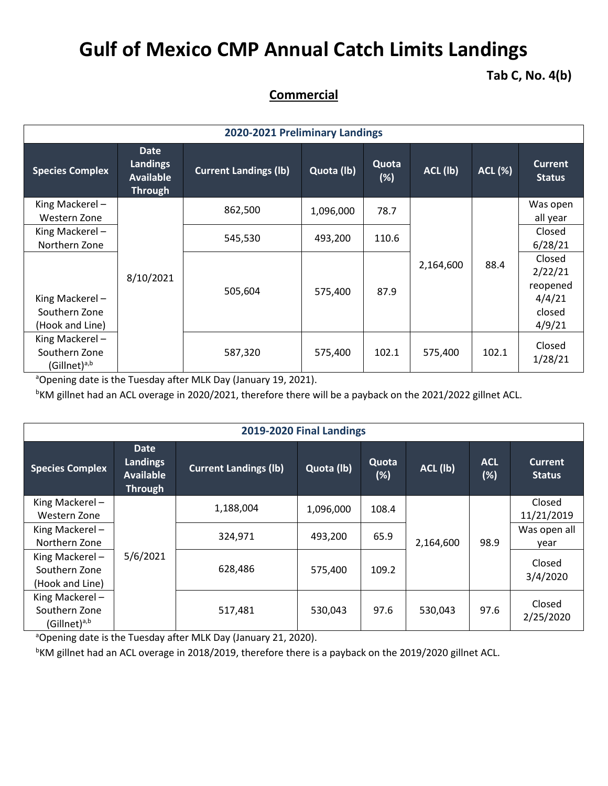## **Gulf of Mexico CMP Annual Catch Limits Landings**

**Tab C, No. 4(b)**

## **Commercial**

| 2020-2021 Preliminary Landings                              |                                                        |                              |            |                 |           |        |                                                             |  |  |  |
|-------------------------------------------------------------|--------------------------------------------------------|------------------------------|------------|-----------------|-----------|--------|-------------------------------------------------------------|--|--|--|
| <b>Species Complex</b>                                      | Date<br>Landings<br><b>Available</b><br><b>Through</b> | <b>Current Landings (Ib)</b> | Quota (lb) | Quota<br>$(\%)$ | ACL (lb)  | ACL(%) | <b>Current</b><br><b>Status</b>                             |  |  |  |
| King Mackerel-<br>Western Zone                              | 8/10/2021                                              | 862,500                      | 1,096,000  | 78.7            |           |        | Was open<br>all year                                        |  |  |  |
| King Mackerel-<br>Northern Zone                             |                                                        | 545,530                      | 493,200    | 110.6           |           |        | Closed<br>6/28/21                                           |  |  |  |
| King Mackerel-<br>Southern Zone<br>(Hook and Line)          |                                                        | 505,604                      | 575,400    | 87.9            | 2,164,600 | 88.4   | Closed<br>2/22/21<br>reopened<br>4/4/21<br>closed<br>4/9/21 |  |  |  |
| King Mackerel-<br>Southern Zone<br>(Gillnet) <sup>a,b</sup> |                                                        | 587,320                      | 575,400    | 102.1           | 575,400   | 102.1  | Closed<br>1/28/21                                           |  |  |  |

<sup>a</sup>Opening date is the Tuesday after MLK Day (January 19, 2021).

<sup>b</sup>KM gillnet had an ACL overage in 2020/2021, therefore there will be a payback on the 2021/2022 gillnet ACL.

| 2019-2020 Final Landings                             |                                                                      |                              |            |                          |         |                      |                                 |                      |  |
|------------------------------------------------------|----------------------------------------------------------------------|------------------------------|------------|--------------------------|---------|----------------------|---------------------------------|----------------------|--|
| <b>Species Complex</b>                               | <b>Date</b><br><b>Landings</b><br><b>Available</b><br><b>Through</b> | <b>Current Landings (lb)</b> | Quota (lb) | Quota<br>ACL (lb)<br>(%) |         | <b>ACL</b><br>$(\%)$ | <b>Current</b><br><b>Status</b> |                      |  |
| King Mackerel-<br>Western Zone                       |                                                                      | 1,188,004                    | 1,096,000  | 108.4                    |         |                      | Closed<br>11/21/2019            |                      |  |
| King Mackerel-<br>Northern Zone                      |                                                                      |                              | 324,971    | 493,200                  | 65.9    | 2,164,600            | 98.9                            | Was open all<br>year |  |
| King Mackerel-<br>Southern Zone<br>(Hook and Line)   | 5/6/2021                                                             | 628,486                      | 575,400    | 109.2                    |         |                      | Closed<br>3/4/2020              |                      |  |
| King Mackerel-<br>Southern Zone<br>$(Gillnet)^{a,b}$ |                                                                      | 517,481                      | 530,043    | 97.6                     | 530,043 | 97.6                 | Closed<br>2/25/2020             |                      |  |

<sup>a</sup>Opening date is the Tuesday after MLK Day (January 21, 2020).

<sup>b</sup>KM gillnet had an ACL overage in 2018/2019, therefore there is a payback on the 2019/2020 gillnet ACL.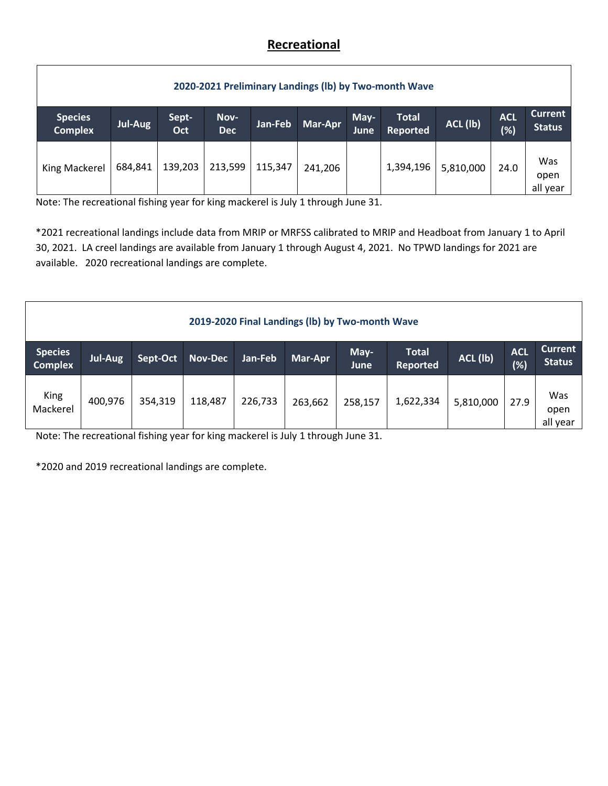## **Recreational**

| 2020-2021 Preliminary Landings (Ib) by Two-month Wave |                |              |                    |         |         |              |                                 |           |                      |                                 |
|-------------------------------------------------------|----------------|--------------|--------------------|---------|---------|--------------|---------------------------------|-----------|----------------------|---------------------------------|
| <b>Species</b><br><b>Complex</b>                      | <b>Jul-Aug</b> | Sept-<br>Oct | Nov-<br><b>Dec</b> | Jan-Feb | Mar-Apr | May-<br>June | <b>Total</b><br><b>Reported</b> | ACL (lb)  | <b>ACL</b><br>$(\%)$ | <b>Current</b><br><b>Status</b> |
| King Mackerel                                         | 684,841        | 139,203      | 213,599            | 115,347 | 241,206 |              | 1,394,196                       | 5,810,000 | 24.0                 | Was<br>open<br>all year         |

Note: The recreational fishing year for king mackerel is July 1 through June 31.

\*2021 recreational landings include data from MRIP or MRFSS calibrated to MRIP and Headboat from January 1 to April 30, 2021. LA creel landings are available from January 1 through August 4, 2021. No TPWD landings for 2021 are available. 2020 recreational landings are complete.

| 2019-2020 Final Landings (Ib) by Two-month Wave |                |          |                |         |         |              |                                 |           |                      |                                 |
|-------------------------------------------------|----------------|----------|----------------|---------|---------|--------------|---------------------------------|-----------|----------------------|---------------------------------|
| <b>Species</b><br><b>Complex</b>                | <b>Jul-Aug</b> | Sept-Oct | <b>Nov-Dec</b> | Jan-Feb | Mar-Apr | May-<br>June | <b>Total</b><br><b>Reported</b> | ACL (lb)  | <b>ACL</b><br>$(\%)$ | <b>Current</b><br><b>Status</b> |
| King<br>Mackerel                                | 400,976        | 354,319  | 118,487        | 226,733 | 263,662 | 258,157      | 1,622,334                       | 5,810,000 | 27.9                 | Was<br>open<br>all year         |

Note: The recreational fishing year for king mackerel is July 1 through June 31.

\*2020 and 2019 recreational landings are complete.